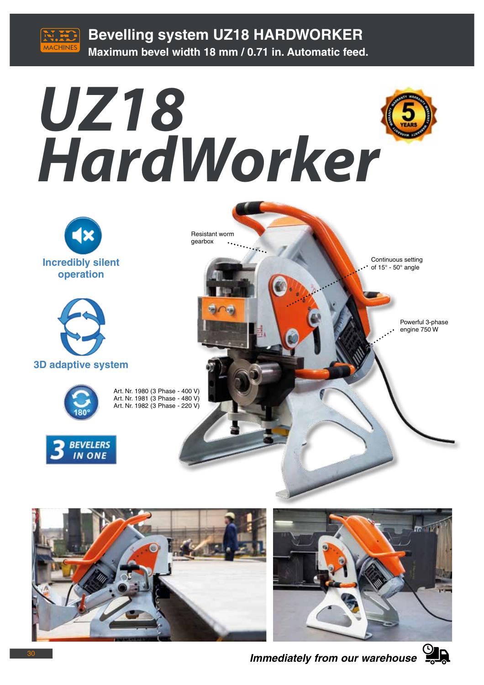

**Bevelling system UZ18 HARDWORKER Maximum bevel width 18 mm / 0.71 in. Automatic feed.**



 $\bullet$ .

e.

gearbox





**3D adaptive system**



Art. Nr. 1980 (3 Phase - 400 V) Art. Nr. 1981 (3 Phase - 480 V) Art. Nr. 1982 (3 Phase - 220 V)







*Immediately from our warehouse*



Powerful 3-phase engine 750 W

Continuous setting of  $15^\circ$  -  $50^\circ$  angle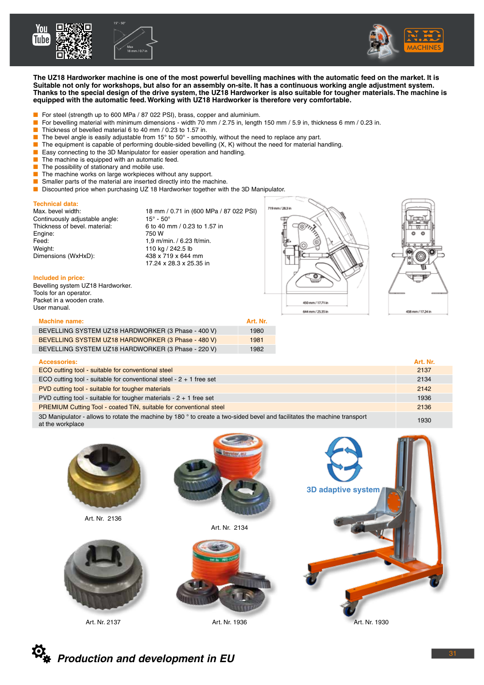





**The UZ18 Hardworker machine is one of the most powerful bevelling machines with the automatic feed on the market. It is Suitable not only for workshops, but also for an assembly on-site. It has a continuous working angle adjustment system. Thanks to the special design of the drive system, the UZ18 Hardworker is also suitable for tougher materials. The machine is equipped with the automatic feed. Working with UZ18 Hardworker is therefore very comfortable.**

- For steel (strength up to 600 MPa / 87 022 PSI), brass, copper and aluminium.
- For bevelling material with minimum dimensions width 70 mm / 2.75 in, length 150 mm / 5.9 in, thickness 6 mm / 0.23 in.
- Thickness of bevelled material 6 to 40 mm / 0.23 to 1.57 in.<br>■ The bevel angle is easily adjustable from 15° to 50° smoot
- The bevel angle is easily adjustable from 15 $^{\circ}$  to 50 $^{\circ}$  smoothly, without the need to replace any part.
- The equipment is capable of performing double-sided bevelling (X, K) without the need for material handling.
- Easy connecting to the 3D Manipulator for easier operation and handling.
- **■** The machine is equipped with an automatic feed.<br>
The possibility of stationary and mobile use.
- The possibility of stationary and mobile use.
- The machine works on large workpieces without any support.
- Smaller parts of the material are inserted directly into the machine.
- Discounted price when purchasing UZ 18 Hardworker together with the 3D Manipulator.

## **Technical data:**

Continuously adjustable angle:  $15^\circ - 50^\circ$ <br>Thickness of bevel. material: 6 to 40 mm / 0.23 to 1.57 in Thickness of bevel. material: Engine: 750 W Feed: 1,9 m/min. / 6.23 ft/min. Weight: 110 kg / 242.5 lb<br>Dimensions (WxHxD): 438 x 719 x 644 mm Dimensions (WxHxD):

18 mm / 0.71 in (600 MPa / 87 022 PSI)<br> $15^{\circ}$  - 50° 17.24 x 28.3 x 25.35 in





### **Included in price:**

Bevelling system UZ18 Hardworker. Tools for an operator. Packet in a wooden crate. User manual.

| <b>Machine name:</b>                               | Art. Nr. |
|----------------------------------------------------|----------|
| BEVELLING SYSTEM UZ18 HARDWORKER (3 Phase - 400 V) | 1980     |
| BEVELLING SYSTEM UZ18 HARDWORKER (3 Phase - 480 V) | 1981     |
| BEVELLING SYSTEM UZ18 HARDWORKER (3 Phase - 220 V) | 1982     |

|  |  | . |  |  |  |
|--|--|---|--|--|--|
|  |  |   |  |  |  |

| <b>Accessories:</b>                                                                                                                          | Art. Nr. |
|----------------------------------------------------------------------------------------------------------------------------------------------|----------|
| ECO cutting tool - suitable for conventional steel                                                                                           | 2137     |
| ECO cutting tool - suitable for conventional steel - $2 + 1$ free set                                                                        | 2134     |
| PVD cutting tool - suitable for tougher materials                                                                                            | 2142     |
| PVD cutting tool - suitable for tougher materials - $2 + 1$ free set                                                                         | 1936     |
| PREMIUM Cutting Tool - coated TiN, suitable for conventional steel                                                                           | 2136     |
| 3D Manipulator - allows to rotate the machine by 180 ° to create a two-sided bevel and facilitates the machine transport<br>at the workplace | 1930     |
|                                                                                                                                              |          |



Art. Nr. 2137

Art. Nr. 1936 **Art. Nr. 1930**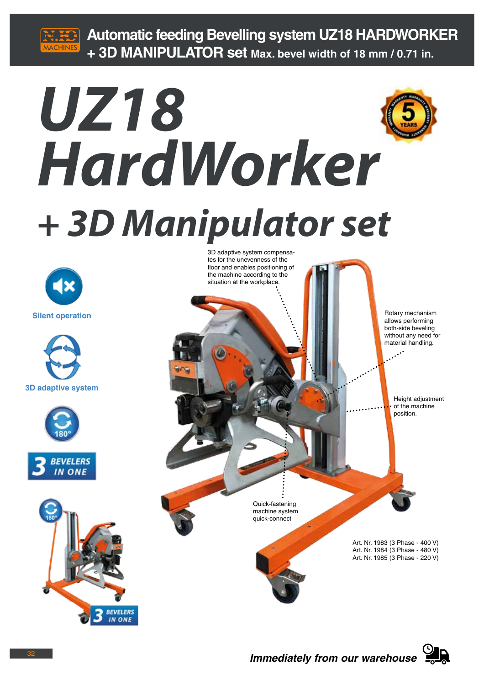

**Automatic feeding Bevelling system UZ18 HARDWORKER + 3D MANIPULATOR set Max. bevel width of 18 mm / 0.71 in.**

# *UZ18 HardWorker + 3D Manipulator set*











3D adaptive system compensates for the unevenness of the floor and enables positioning of the machine according to the situation at the workplace.

> allows performing both-side beveling without any need for material handling.

> > Height adjustment of the machine position.

Quick-fastening machine system quick-connect

> Art. Nr. 1983 (3 Phase - 400 V) Art. Nr. 1984 (3 Phase - 480 V) Art. Nr. 1985 (3 Phase - 220 V)